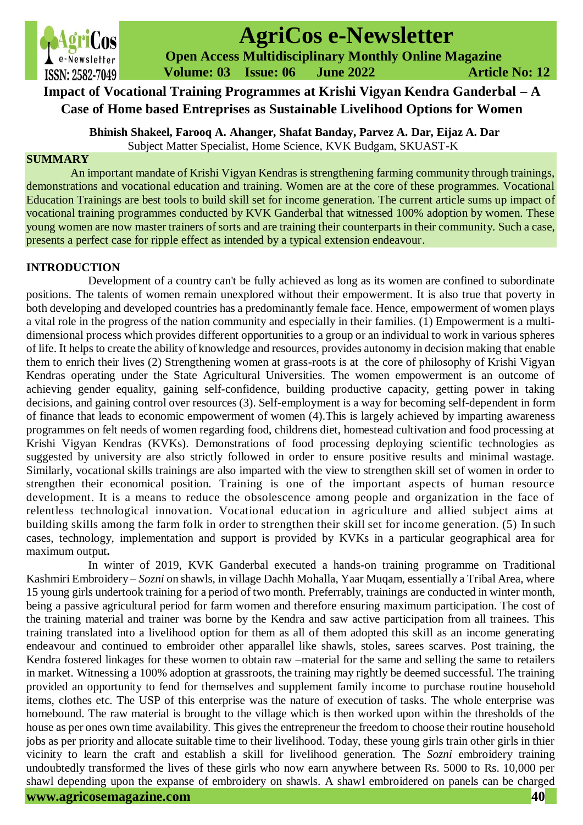

# **AgriCos e-Newsletter**

**AgriCos AgriCos AgriCos e-Newsletter**<br> **Compared Access Multidisciplinary Monthly Online Magazine Volume: 03 Issue: 06 June 2022 Article No: 12**

# **Impact of Vocational Training Programmes at Krishi Vigyan Kendra Ganderbal – A Case of Home based Entreprises as Sustainable Livelihood Options for Women**

**Bhinish Shakeel, Farooq A. Ahanger, Shafat Banday, Parvez A. Dar, Eijaz A. Dar** Subject Matter Specialist, Home Science, KVK Budgam, SKUAST-K

# **SUMMARY**

An important mandate of Krishi Vigyan Kendras is strengthening farming community through trainings, demonstrations and vocational education and training. Women are at the core of these programmes. Vocational Education Trainings are best tools to build skill set for income generation. The current article sums up impact of vocational training programmes conducted by KVK Ganderbal that witnessed 100% adoption by women. These young women are now master trainers of sorts and are training their counterparts in their community. Such a case, presents a perfect case for ripple effect as intended by a typical extension endeavour.

# **INTRODUCTION**

Development of a country can't be fully achieved as long as its women are confined to subordinate positions. The talents of women remain unexplored without their empowerment. It is also true that poverty in both developing and developed countries has a predominantly female face. Hence, empowerment of women plays a vital role in the progress of the nation community and especially in their families. (1) Empowerment is a multidimensional process which provides different opportunities to a group or an individual to work in various spheres of life. It helps to create the ability of knowledge and resources, provides autonomy in decision making that enable them to enrich their lives (2) Strengthening women at grass-roots is at the core of philosophy of Krishi Vigyan Kendras operating under the State Agricultural Universities. The women empowerment is an outcome of achieving gender equality, gaining self-confidence, building productive capacity, getting power in taking decisions, and gaining control over resources (3). Self-employment is a way for becoming self-dependent in form of finance that leads to economic empowerment of women (4).This is largely achieved by imparting awareness programmes on felt needs of women regarding food, childrens diet, homestead cultivation and food processing at Krishi Vigyan Kendras (KVKs). Demonstrations of food processing deploying scientific technologies as suggested by university are also strictly followed in order to ensure positive results and minimal wastage. Similarly, vocational skills trainings are also imparted with the view to strengthen skill set of women in order to strengthen their economical position. Training is one of the important aspects of human resource development. It is a means to reduce the obsolescence among people and organization in the face of relentless technological innovation. Vocational education in agriculture and allied subject aims at building skills among the farm folk in order to strengthen their skill set for income generation. (5) In such cases, technology, implementation and support is provided by KVKs in a particular geographical area for maximum output**.** 

In winter of 2019, KVK Ganderbal executed a hands-on training programme on Traditional Kashmiri Embroidery – *Sozni* on shawls, in village Dachh Mohalla, Yaar Muqam, essentially a Tribal Area, where 15 young girls undertook training for a period of two month. Preferrably, trainings are conducted in winter month, being a passive agricultural period for farm women and therefore ensuring maximum participation. The cost of the training material and trainer was borne by the Kendra and saw active participation from all trainees. This training translated into a livelihood option for them as all of them adopted this skill as an income generating endeavour and continued to embroider other apparallel like shawls, stoles, sarees scarves. Post training, the Kendra fostered linkages for these women to obtain raw –material for the same and selling the same to retailers in market. Witnessing a 100% adoption at grassroots, the training may rightly be deemed successful. The training provided an opportunity to fend for themselves and supplement family income to purchase routine household items, clothes etc. The USP of this enterprise was the nature of execution of tasks. The whole enterprise was homebound. The raw material is brought to the village which is then worked upon within the thresholds of the house as per ones own time availability. This gives the entrepreneur the freedom to choose their routine household jobs as per priority and allocate suitable time to their livelihood. Today, these young girls train other girls in thier vicinity to learn the craft and establish a skill for livelihood generation. The *Sozni* embroidery training undoubtedly transformed the lives of these girls who now earn anywhere between Rs. 5000 to Rs. 10,000 per shawl depending upon the expanse of embroidery on shawls. A shawl embroidered on panels can be charged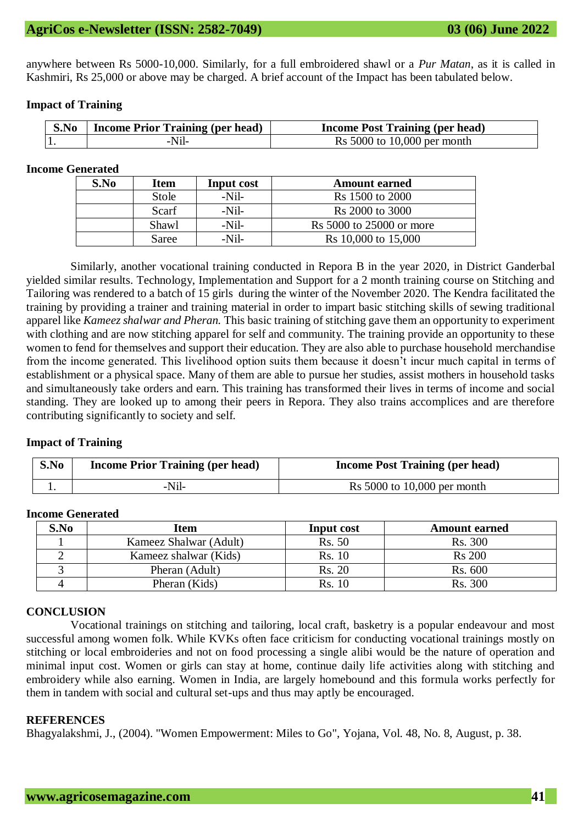anywhere between Rs 5000-10,000. Similarly, for a full embroidered shawl or a *Pur Matan*, as it is called in Kashmiri, Rs 25,000 or above may be charged. A brief account of the Impact has been tabulated below.

## **Impact of Training**

| <b>S.No</b>   Income Prior Training (per head) | <b>Income Post Training (per head)</b> |
|------------------------------------------------|----------------------------------------|
| -Nil-                                          | Rs $5000$ to $10,000$ per month        |

# **Income Generated**

| S.No | <b>Item</b><br>Input cost |         | <b>Amount earned</b>     |  |
|------|---------------------------|---------|--------------------------|--|
|      | Stole                     | $-Nil-$ | Rs 1500 to 2000          |  |
|      | Scarf                     | $-Nil-$ | Rs 2000 to 3000          |  |
|      | Shawl                     | $-Nil-$ | Rs 5000 to 25000 or more |  |
|      | Saree                     | $-Nil-$ | Rs 10,000 to 15,000      |  |

Similarly, another vocational training conducted in Repora B in the year 2020, in District Ganderbal yielded similar results. Technology, Implementation and Support for a 2 month training course on Stitching and Tailoring was rendered to a batch of 15 girls during the winter of the November 2020. The Kendra facilitated the training by providing a trainer and training material in order to impart basic stitching skills of sewing traditional apparel like *Kameez shalwar and Pheran.* This basic training of stitching gave them an opportunity to experiment with clothing and are now stitching apparel for self and community. The training provide an opportunity to these women to fend for themselves and support their education. They are also able to purchase household merchandise from the income generated. This livelihood option suits them because it doesn't incur much capital in terms of establishment or a physical space. Many of them are able to pursue her studies, assist mothers in household tasks and simultaneously take orders and earn. This training has transformed their lives in terms of income and social standing. They are looked up to among their peers in Repora. They also trains accomplices and are therefore contributing significantly to society and self.

### **Impact of Training**

| S.No | <b>Income Prior Training (per head)</b> | <b>Income Post Training (per head)</b> |  |
|------|-----------------------------------------|----------------------------------------|--|
|      | -Nil-                                   | Rs $5000$ to $10,000$ per month        |  |

### **Income Generated**

| S.No | Item                   | Input cost | <b>Amount earned</b> |
|------|------------------------|------------|----------------------|
|      | Kameez Shalwar (Adult) | Rs. 50     | <b>Rs.</b> 300       |
|      | Kameez shalwar (Kids)  | Rs. 10     | <b>Rs</b> 200        |
|      | Pheran (Adult)         | Rs. 20     | Rs. 600              |
|      | Pheran (Kids)          | Rs. 10     | Rs. 300              |

### **CONCLUSION**

Vocational trainings on stitching and tailoring, local craft, basketry is a popular endeavour and most successful among women folk. While KVKs often face criticism for conducting vocational trainings mostly on stitching or local embroideries and not on food processing a single alibi would be the nature of operation and minimal input cost. Women or girls can stay at home, continue daily life activities along with stitching and embroidery while also earning. Women in India, are largely homebound and this formula works perfectly for them in tandem with social and cultural set-ups and thus may aptly be encouraged.

### **REFERENCES**

Bhagyalakshmi, J., (2004). "Women Empowerment: Miles to Go", Yojana, Vol. 48, No. 8, August, p. 38.